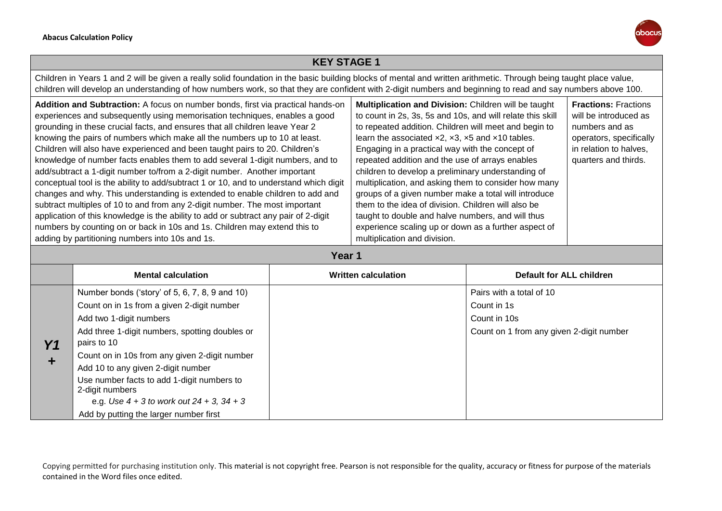

## **KEY STAGE 1**

Children in Years 1 and 2 will be given a really solid foundation in the basic building blocks of mental and written arithmetic. Through being taught place value, children will develop an understanding of how numbers work, so that they are confident with 2-digit numbers and beginning to read and say numbers above 100.

| Addition and Subtraction: A focus on number bonds, first via practical hands-on<br>experiences and subsequently using memorisation techniques, enables a good<br>grounding in these crucial facts, and ensures that all children leave Year 2<br>knowing the pairs of numbers which make all the numbers up to 10 at least.<br>Children will also have experienced and been taught pairs to 20. Children's<br>knowledge of number facts enables them to add several 1-digit numbers, and to<br>add/subtract a 1-digit number to/from a 2-digit number. Another important<br>conceptual tool is the ability to add/subtract 1 or 10, and to understand which digit<br>changes and why. This understanding is extended to enable children to add and | Multiplication and Division: Children will be taught<br>to count in 2s, 3s, 5s and 10s, and will relate this skill<br>to repeated addition. Children will meet and begin to<br>learn the associated $x2$ , $x3$ , $x5$ and $x10$ tables.<br>Engaging in a practical way with the concept of<br>repeated addition and the use of arrays enables<br>children to develop a preliminary understanding of<br>multiplication, and asking them to consider how many<br>groups of a given number make a total will introduce | <b>Fractions: Fractions</b><br>will be introduced as<br>numbers and as<br>operators, specifically<br>in relation to halves,<br>quarters and thirds. |
|----------------------------------------------------------------------------------------------------------------------------------------------------------------------------------------------------------------------------------------------------------------------------------------------------------------------------------------------------------------------------------------------------------------------------------------------------------------------------------------------------------------------------------------------------------------------------------------------------------------------------------------------------------------------------------------------------------------------------------------------------|----------------------------------------------------------------------------------------------------------------------------------------------------------------------------------------------------------------------------------------------------------------------------------------------------------------------------------------------------------------------------------------------------------------------------------------------------------------------------------------------------------------------|-----------------------------------------------------------------------------------------------------------------------------------------------------|
|                                                                                                                                                                                                                                                                                                                                                                                                                                                                                                                                                                                                                                                                                                                                                    |                                                                                                                                                                                                                                                                                                                                                                                                                                                                                                                      |                                                                                                                                                     |
| subtract multiples of 10 to and from any 2-digit number. The most important<br>application of this knowledge is the ability to add or subtract any pair of 2-digit                                                                                                                                                                                                                                                                                                                                                                                                                                                                                                                                                                                 | them to the idea of division. Children will also be<br>taught to double and halve numbers, and will thus                                                                                                                                                                                                                                                                                                                                                                                                             |                                                                                                                                                     |
| numbers by counting on or back in 10s and 1s. Children may extend this to<br>adding by partitioning numbers into 10s and 1s.                                                                                                                                                                                                                                                                                                                                                                                                                                                                                                                                                                                                                       | experience scaling up or down as a further aspect of<br>multiplication and division.                                                                                                                                                                                                                                                                                                                                                                                                                                 |                                                                                                                                                     |

**Year 1**

|    | <b>Mental calculation</b>                                                                                         | <b>Written calculation</b> | Default for ALL children                 |
|----|-------------------------------------------------------------------------------------------------------------------|----------------------------|------------------------------------------|
|    | Number bonds ('story' of 5, 6, 7, 8, 9 and 10)                                                                    |                            | Pairs with a total of 10                 |
|    | Count on in 1s from a given 2-digit number                                                                        |                            | Count in 1s                              |
|    | Add two 1-digit numbers                                                                                           |                            | Count in 10s                             |
| Υ1 | Add three 1-digit numbers, spotting doubles or<br>pairs to 10                                                     |                            | Count on 1 from any given 2-digit number |
|    | Count on in 10s from any given 2-digit number                                                                     |                            |                                          |
| ٠  | Add 10 to any given 2-digit number                                                                                |                            |                                          |
|    | Use number facts to add 1-digit numbers to<br>2-digit numbers<br>e.g. Use $4 + 3$ to work out $24 + 3$ , $34 + 3$ |                            |                                          |
|    | Add by putting the larger number first                                                                            |                            |                                          |

Copying permitted for purchasing institution only. This material is not copyright free. Pearson is not responsible for the quality, accuracy or fitness for purpose of the materials contained in the Word files once edited.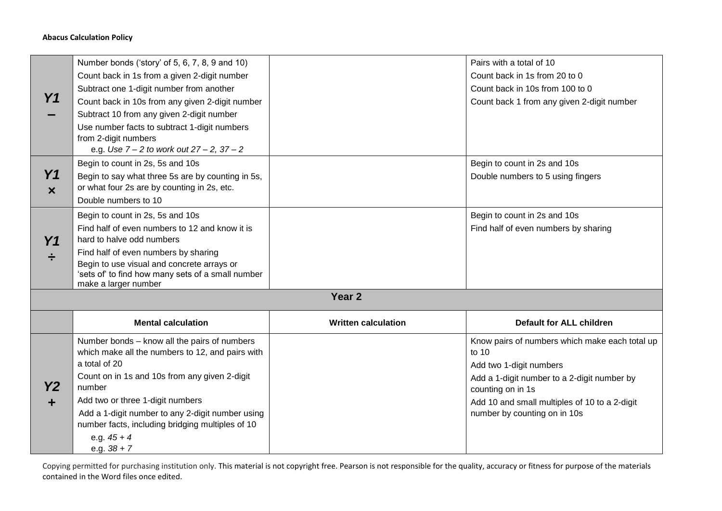## **Abacus Calculation Policy**

| Y1                                      | Number bonds ('story' of 5, 6, 7, 8, 9 and 10)<br>Count back in 1s from a given 2-digit number<br>Subtract one 1-digit number from another<br>Count back in 10s from any given 2-digit number<br>Subtract 10 from any given 2-digit number<br>Use number facts to subtract 1-digit numbers<br>from 2-digit numbers                                         |                            | Pairs with a total of 10<br>Count back in 1s from 20 to 0<br>Count back in 10s from 100 to 0<br>Count back 1 from any given 2-digit number                                                                                              |
|-----------------------------------------|------------------------------------------------------------------------------------------------------------------------------------------------------------------------------------------------------------------------------------------------------------------------------------------------------------------------------------------------------------|----------------------------|-----------------------------------------------------------------------------------------------------------------------------------------------------------------------------------------------------------------------------------------|
| Y <sub>1</sub><br>$\boldsymbol{\times}$ | e.g. Use 7 - 2 to work out 27 - 2, 37 - 2<br>Begin to count in 2s, 5s and 10s<br>Begin to say what three 5s are by counting in 5s,<br>or what four 2s are by counting in 2s, etc.<br>Double numbers to 10                                                                                                                                                  |                            | Begin to count in 2s and 10s<br>Double numbers to 5 using fingers                                                                                                                                                                       |
| Y <sub>1</sub>                          | Begin to count in 2s, 5s and 10s<br>Find half of even numbers to 12 and know it is<br>hard to halve odd numbers<br>Find half of even numbers by sharing<br>Begin to use visual and concrete arrays or<br>'sets of' to find how many sets of a small number<br>make a larger number                                                                         |                            | Begin to count in 2s and 10s<br>Find half of even numbers by sharing                                                                                                                                                                    |
|                                         |                                                                                                                                                                                                                                                                                                                                                            | Year <sub>2</sub>          |                                                                                                                                                                                                                                         |
|                                         | <b>Mental calculation</b>                                                                                                                                                                                                                                                                                                                                  | <b>Written calculation</b> | <b>Default for ALL children</b>                                                                                                                                                                                                         |
| <b>Y2</b><br>┿                          | Number bonds - know all the pairs of numbers<br>which make all the numbers to 12, and pairs with<br>a total of 20<br>Count on in 1s and 10s from any given 2-digit<br>number<br>Add two or three 1-digit numbers<br>Add a 1-digit number to any 2-digit number using<br>number facts, including bridging multiples of 10<br>e.g. $45 + 4$<br>e.g. $38 + 7$ |                            | Know pairs of numbers which make each total up<br>to 10<br>Add two 1-digit numbers<br>Add a 1-digit number to a 2-digit number by<br>counting on in 1s<br>Add 10 and small multiples of 10 to a 2-digit<br>number by counting on in 10s |

Copying permitted for purchasing institution only. This material is not copyright free. Pearson is not responsible for the quality, accuracy or fitness for purpose of the materials contained in the Word files once edited.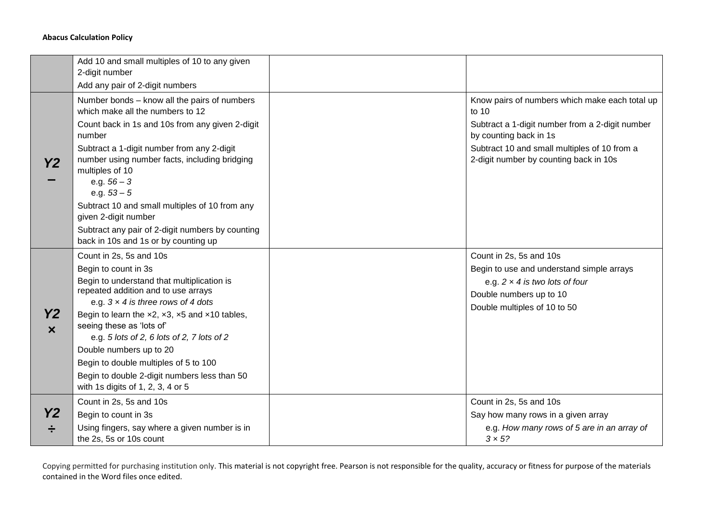## **Abacus Calculation Policy**

|                | Add 10 and small multiples of 10 to any given<br>2-digit number<br>Add any pair of 2-digit numbers                                                                                                                                                                                                                                                                                                                                                                               |                                                                                                                                                                                                                                |
|----------------|----------------------------------------------------------------------------------------------------------------------------------------------------------------------------------------------------------------------------------------------------------------------------------------------------------------------------------------------------------------------------------------------------------------------------------------------------------------------------------|--------------------------------------------------------------------------------------------------------------------------------------------------------------------------------------------------------------------------------|
| <b>Y2</b>      | Number bonds - know all the pairs of numbers<br>which make all the numbers to 12<br>Count back in 1s and 10s from any given 2-digit<br>number<br>Subtract a 1-digit number from any 2-digit<br>number using number facts, including bridging<br>multiples of 10<br>e.g. $56 - 3$<br>e.g. $53 - 5$<br>Subtract 10 and small multiples of 10 from any<br>given 2-digit number<br>Subtract any pair of 2-digit numbers by counting<br>back in 10s and 1s or by counting up          | Know pairs of numbers which make each total up<br>to 10<br>Subtract a 1-digit number from a 2-digit number<br>by counting back in 1s<br>Subtract 10 and small multiples of 10 from a<br>2-digit number by counting back in 10s |
| Y2<br>$\bm{x}$ | Count in 2s, 5s and 10s<br>Begin to count in 3s<br>Begin to understand that multiplication is<br>repeated addition and to use arrays<br>e.g. $3 \times 4$ is three rows of 4 dots<br>Begin to learn the $x2$ , $x3$ , $x5$ and $x10$ tables,<br>seeing these as 'lots of'<br>e.g. 5 lots of 2, 6 lots of 2, 7 lots of 2<br>Double numbers up to 20<br>Begin to double multiples of 5 to 100<br>Begin to double 2-digit numbers less than 50<br>with 1s digits of 1, 2, 3, 4 or 5 | Count in 2s, 5s and 10s<br>Begin to use and understand simple arrays<br>e.g. $2 \times 4$ is two lots of four<br>Double numbers up to 10<br>Double multiples of 10 to 50                                                       |
| Y2             | Count in 2s, 5s and 10s<br>Begin to count in 3s<br>Using fingers, say where a given number is in<br>the 2s, 5s or 10s count                                                                                                                                                                                                                                                                                                                                                      | Count in 2s, 5s and 10s<br>Say how many rows in a given array<br>e.g. How many rows of 5 are in an array of<br>$3 \times 5?$                                                                                                   |

Copying permitted for purchasing institution only. This material is not copyright free. Pearson is not responsible for the quality, accuracy or fitness for purpose of the materials contained in the Word files once edited.